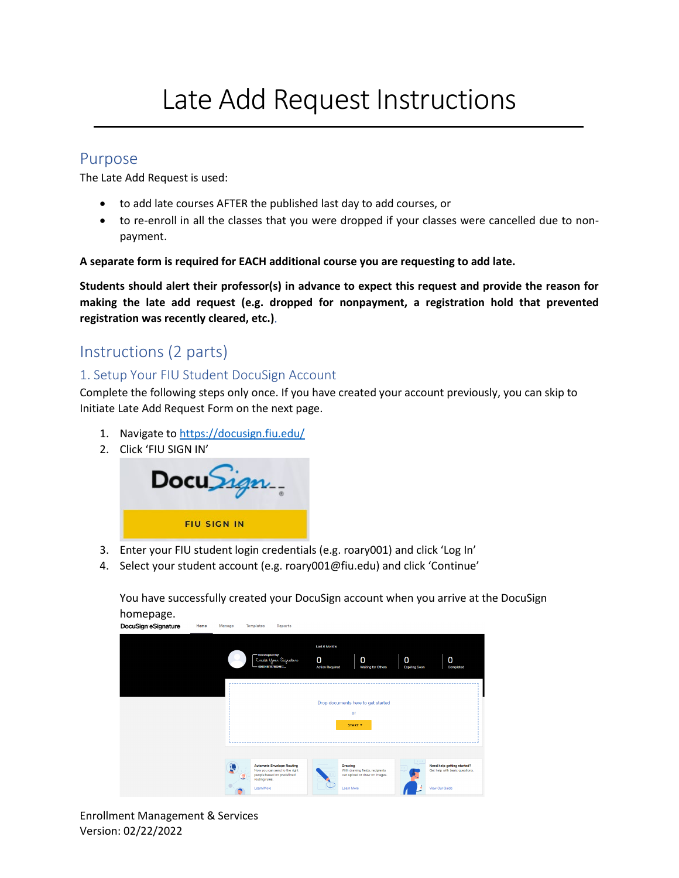# Late Add Request Instructions

## Purpose

The Late Add Request is used:

- to add late courses AFTER the published last day to add courses, or
- to re-enroll in all the classes that you were dropped if your classes were cancelled due to nonpayment.

#### **A separate form is required for EACH additional course you are requesting to add late.**

**Students should alert their professor(s) in advance to expect this request and provide the reason for making the late add request (e.g. dropped for nonpayment, a registration hold that prevented registration was recently cleared, etc.)**.

# Instructions (2 parts)

## 1. Setup Your FIU Student DocuSign Account

Complete the following steps only once. If you have created your account previously, you can skip to Initiate Late Add Request Form on the next page.

- 1. Navigate to <https://docusign.fiu.edu/>
- 2. Click 'FIU SIGN IN'



- 3. Enter your FIU student login credentials (e.g. roary001) and click 'Log In'
- 4. Select your student account (e.g. roary001@fiu.edu) and click 'Continue'

You have successfully created your DocuSign account when you arrive at the DocuSign homepage.<br>DocuSign eSignature

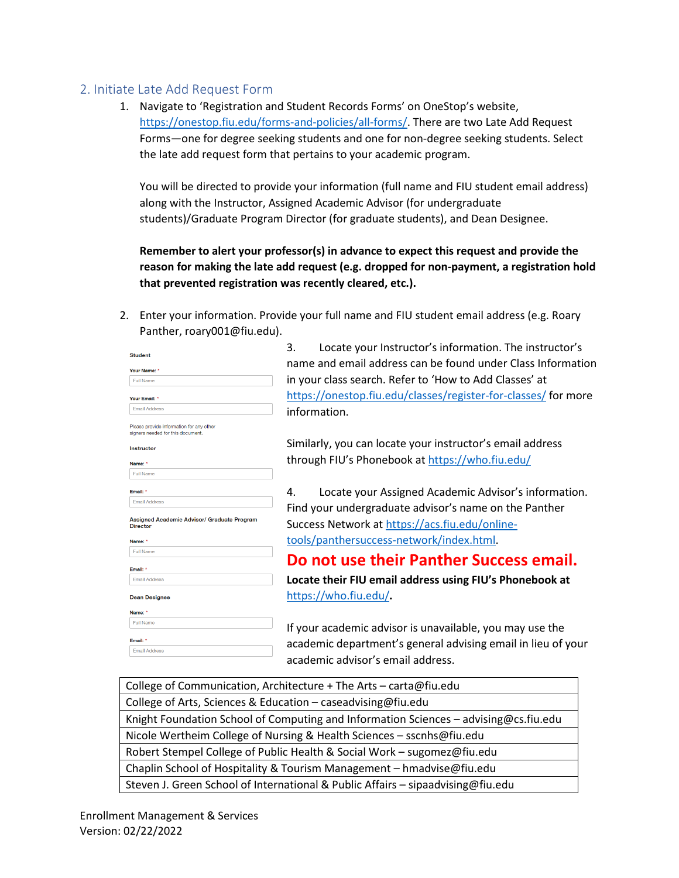### 2. Initiate Late Add Request Form

1. Navigate to 'Registration and Student Records Forms' on OneStop's website, [https://onestop.fiu.edu/forms-and-policies/all-forms/.](https://onestop.fiu.edu/forms-and-policies/all-forms/) There are two Late Add Request Forms—one for degree seeking students and one for non-degree seeking students. Select the late add request form that pertains to your academic program.

You will be directed to provide your information (full name and FIU student email address) along with the Instructor, Assigned Academic Advisor (for undergraduate students)/Graduate Program Director (for graduate students), and Dean Designee.

**Remember to alert your professor(s) in advance to expect this request and provide the reason for making the late add request (e.g. dropped for non-payment, a registration hold that prevented registration was recently cleared, etc.).**

2. Enter your information. Provide your full name and FIU student email address (e.g. Roary Panther, roary001@fiu.edu).

| <b>Student</b>                                                 | J.               |
|----------------------------------------------------------------|------------------|
| Your Name: *                                                   | name             |
| <b>Full Name</b>                                               | in you           |
|                                                                |                  |
| Your Email: *                                                  | https:/          |
| <b>Email Address</b>                                           | inform           |
| Please provide information for any other                       |                  |
| signers needed for this document.                              |                  |
| <b>Instructor</b>                                              | Similar          |
| Name: *                                                        | throug           |
| <b>Full Name</b>                                               |                  |
| Email: *                                                       | 4.               |
| <b>Email Address</b>                                           |                  |
| Assigned Academic Advisor/ Graduate Program<br><b>Director</b> | Find y<br>Succes |
| Name: *                                                        | tools/           |
| <b>Full Name</b>                                               |                  |
| Email: *                                                       | Do n             |
| <b>Email Address</b>                                           | Locate           |
| <b>Dean Designee</b>                                           | <u>https:/</u>   |
| Name: *                                                        |                  |
| <b>Full Name</b>                                               | If your          |
| Email: *                                                       | acader           |
| <b>Email Address</b>                                           |                  |
|                                                                | acader           |

Locate your Instructor's information. The instructor's and email address can be found under Class Information r class search. Refer to 'How to Add Classes' at //onestop.fiu.edu/classes/register-for-classes/ for more iation.

rly, you can locate your instructor's email address th FIU's Phonebook at<https://who.fiu.edu/>

Locate your Assigned Academic Advisor's information. our undergraduate advisor's name on the Panther ss Network at [https://acs.fiu.edu/online](https://acs.fiu.edu/online-tools/panthersuccess-network/index.html)panthersuccess-network/index.html.

## **Iot use their Panther Success email.**

**Locate their FIU email address using FIU's Phonebook at** <https://who.fiu.edu/>**.** 

academic advisor is unavailable, you may use the mic department's general advising email in lieu of your mic advisor's email address.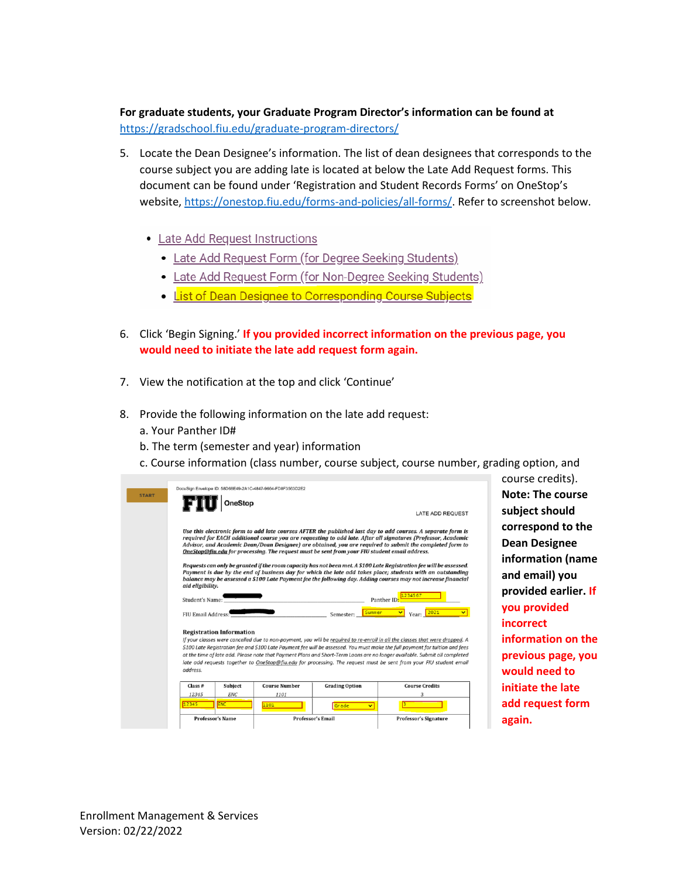**For graduate students, your Graduate Program Director's information can be found at** <https://gradschool.fiu.edu/graduate-program-directors/>

- 5. Locate the Dean Designee's information. The list of dean designees that corresponds to the course subject you are adding late is located at below the Late Add Request forms. This document can be found under 'Registration and Student Records Forms' on OneStop's website, [https://onestop.fiu.edu/forms-and-policies/all-forms/.](https://onestop.fiu.edu/forms-and-policies/all-forms/) Refer to screenshot below.
	- Late Add Request Instructions
		- Late Add Request Form (for Degree Seeking Students)
		- Late Add Request Form (for Non-Degree Seeking Students)
		- . List of Dean Designee to Corresponding Course Subjects
- 6. Click 'Begin Signing.' **If you provided incorrect information on the previous page, you would need to initiate the late add request form again.**
- 7. View the notification at the top and click 'Continue'
- 8. Provide the following information on the late add request:
	- a. Your Panther ID#
	- b. The term (semester and year) information
	- c. Course information (class number, course subject, course number, grading option, and

| <b>START</b> |                                                                                                                                                                                                                                                                                                                                                                                                                                                                                                                                                                 |            | DocuSign Envelope ID: 58D68E49-2A1C-4847-9664-FD8F3563D2E2 |                          |                                                                                                                                                                                                                                                                                                                                                    |
|--------------|-----------------------------------------------------------------------------------------------------------------------------------------------------------------------------------------------------------------------------------------------------------------------------------------------------------------------------------------------------------------------------------------------------------------------------------------------------------------------------------------------------------------------------------------------------------------|------------|------------------------------------------------------------|--------------------------|----------------------------------------------------------------------------------------------------------------------------------------------------------------------------------------------------------------------------------------------------------------------------------------------------------------------------------------------------|
|              |                                                                                                                                                                                                                                                                                                                                                                                                                                                                                                                                                                 | OneStop    |                                                            |                          |                                                                                                                                                                                                                                                                                                                                                    |
|              |                                                                                                                                                                                                                                                                                                                                                                                                                                                                                                                                                                 |            |                                                            |                          | LATE ADD REQUEST                                                                                                                                                                                                                                                                                                                                   |
|              | Use this electronic form to add late courses AFTER the published last day to add courses. A separate form is<br>required for EACH additional course you are requesting to add late. After all signatures (Professor, Academic<br>Advisor, and Academic Dean/Dean Designee) are obtained, you are required to submit the completed form to<br><b>OneStop</b> @fiu.edu for processing. The request must be sent from your FIU student email address.                                                                                                              |            |                                                            |                          |                                                                                                                                                                                                                                                                                                                                                    |
|              | aid eligibility.                                                                                                                                                                                                                                                                                                                                                                                                                                                                                                                                                |            |                                                            |                          | Requests can only be granted if the room capacity has not been met. A \$100 Late Registration fee will be assessed.<br>Payment is due by the end of business day for which the late add takes place; students with an outstanding<br>balance may be assessed a \$100 Late Payment fee the following day. Adding courses may not increase financial |
|              | 1234567<br>Student's Name:<br>Panther ID                                                                                                                                                                                                                                                                                                                                                                                                                                                                                                                        |            |                                                            |                          |                                                                                                                                                                                                                                                                                                                                                    |
|              | 2021<br>Summer<br>Year:<br><b>FIU Email Address:</b><br>Semester:                                                                                                                                                                                                                                                                                                                                                                                                                                                                                               |            |                                                            |                          |                                                                                                                                                                                                                                                                                                                                                    |
|              | <b>Registration Information</b><br>If your classes were cancelled due to non-payment, you will be required to re-enroll in all the classes that were dropped. A<br>\$100 Late Registration fee and \$100 Late Payment fee will be assessed. You must make the full payment for tuition and fees<br>at the time of late add. Please note that Payment Plans and Short-Term Loans are no longer available. Submit all completed<br>late add requests together to OneStop@fiu.edu for processing. The request must be sent from your FIU student email<br>address. |            |                                                            |                          |                                                                                                                                                                                                                                                                                                                                                    |
|              | Class <sub>#</sub>                                                                                                                                                                                                                                                                                                                                                                                                                                                                                                                                              | Subject    | <b>Course Number</b>                                       | <b>Grading Option</b>    | <b>Course Credits</b>                                                                                                                                                                                                                                                                                                                              |
|              | 12345                                                                                                                                                                                                                                                                                                                                                                                                                                                                                                                                                           | <b>ENC</b> | 1101                                                       |                          | 3                                                                                                                                                                                                                                                                                                                                                  |
|              | 12345                                                                                                                                                                                                                                                                                                                                                                                                                                                                                                                                                           | <b>ENC</b> | 1101                                                       | Grade<br>Ÿ               |                                                                                                                                                                                                                                                                                                                                                    |
|              | <b>Professor's Name</b>                                                                                                                                                                                                                                                                                                                                                                                                                                                                                                                                         |            |                                                            | <b>Professor's Email</b> | <b>Professor's Signature</b>                                                                                                                                                                                                                                                                                                                       |
|              |                                                                                                                                                                                                                                                                                                                                                                                                                                                                                                                                                                 |            |                                                            |                          |                                                                                                                                                                                                                                                                                                                                                    |

course credits). **Note: The course subject should correspond to the Dean Designee information (name and email) you provided earlier. If you provided incorrect information on the previous page, you would need to initiate the late add request form again.**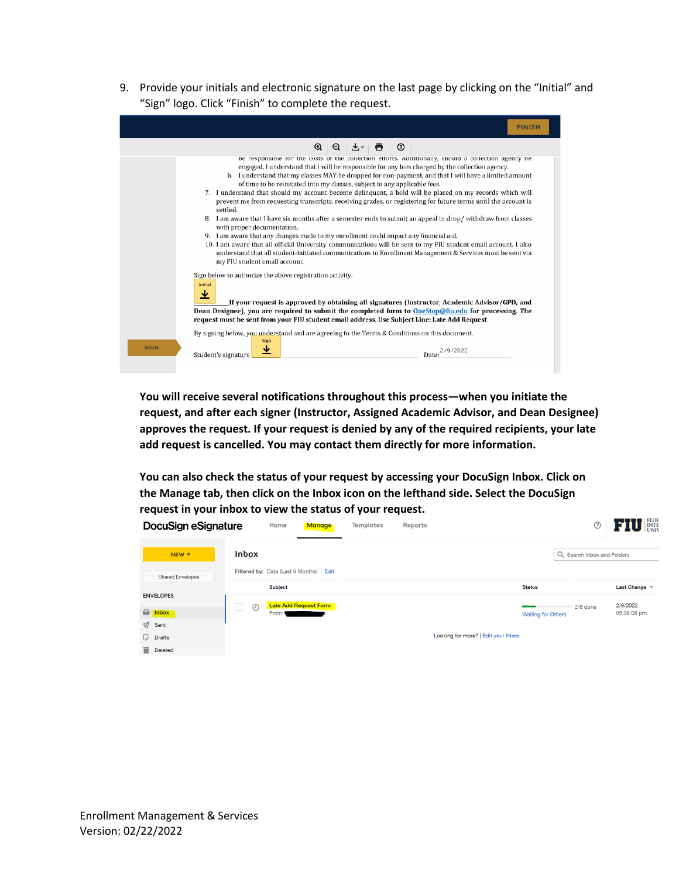9. Provide your initials and electronic signature on the last page by clicking on the "Initial" and "Sign" logo. Click "Finish" to complete the request.

|             | <b>FINISH</b>                                                                                                                                                                                                                                                                                                                                                                                                                                                                                                                                                                                                                                                                                                                                                                                                                                                                                                                                                                                                                                                                                                                                  |  |  |  |  |
|-------------|------------------------------------------------------------------------------------------------------------------------------------------------------------------------------------------------------------------------------------------------------------------------------------------------------------------------------------------------------------------------------------------------------------------------------------------------------------------------------------------------------------------------------------------------------------------------------------------------------------------------------------------------------------------------------------------------------------------------------------------------------------------------------------------------------------------------------------------------------------------------------------------------------------------------------------------------------------------------------------------------------------------------------------------------------------------------------------------------------------------------------------------------|--|--|--|--|
|             | $\Omega$<br>$\bar{p}$ $\omega$<br>$\Theta$<br>$\mathbf{v}$ $\mathbf{v}$                                                                                                                                                                                                                                                                                                                                                                                                                                                                                                                                                                                                                                                                                                                                                                                                                                                                                                                                                                                                                                                                        |  |  |  |  |
|             | be responsible for the costs of the collection efforts. Additionally, should a collection agency be<br>engaged, I understand that I will be responsible for any fees charged by the collection agency.<br>b. I understand that my classes MAY be dropped for non-payment, and that I will have a limited amount<br>of time to be reinstated into my classes, subject to any applicable fees.<br>7. I understand that should my account become delinquent, a hold will be placed on my records which will<br>prevent me from requesting transcripts, receiving grades, or registering for future terms until the account is<br>settled.<br>8. I am aware that I have six months after a semester ends to submit an appeal to drop/ withdraw from classes<br>with proper documentation.<br>9. I am aware that any changes made to my enrollment could impact any financial aid.<br>10. I am aware that all official University communications will be sent to my FIU student email account. I also<br>understand that all student-initiated communications to Enrollment Management & Services must be sent via<br>my FIU student email account. |  |  |  |  |
|             | Sign below to authorize the above registration activity.<br>Initial<br>$\overline{\mathbf{r}}$<br>If your request is approved by obtaining all signatures (Instructor, Academic Advisor/GPD, and<br>Dean Designee), you are required to submit the completed form to OneStop@fiu.edu for processing. The<br>request must be sent from your FIU student email address. Use Subject Line: Late Add Request                                                                                                                                                                                                                                                                                                                                                                                                                                                                                                                                                                                                                                                                                                                                       |  |  |  |  |
| <b>SIGN</b> | By signing below, you understand and are agreeing to the Terms & Conditions on this document.<br>Sign<br>₩<br>Student's signature<br>Date                                                                                                                                                                                                                                                                                                                                                                                                                                                                                                                                                                                                                                                                                                                                                                                                                                                                                                                                                                                                      |  |  |  |  |

**You will receive several notifications throughout this process—when you initiate the request, and after each signer (Instructor, Assigned Academic Advisor, and Dean Designee) approves the request. If your request is denied by any of the required recipients, your late add request is cancelled. You may contact them directly for more information.** 

**You can also check the status of your request by accessing your DocuSign Inbox. Click on the Manage tab, then click on the Inbox icon on the lefthand side. Select the DocuSign request in your inbox to view the status of your request.**

| <b>DocuSign eSignature</b> | Home                                   | Manage                       | <b>Templates</b><br>Reports |                                       | ⊚                          | <b>FLOR</b><br>INTE |
|----------------------------|----------------------------------------|------------------------------|-----------------------------|---------------------------------------|----------------------------|---------------------|
| NEW <b>v</b>               | <b>Inbox</b>                           |                              |                             |                                       | Q Search Inbox and Folders |                     |
| <b>Shared Envelopes</b>    | Filtered by: Date (Last 6 Months) Edit |                              |                             |                                       |                            |                     |
|                            | <b>Subject</b>                         |                              |                             | <b>Status</b>                         |                            | Last Change $\sqrt$ |
| <b>ENVELOPES</b>           | $\odot$                                | <b>Late Add Request Form</b> |                             |                                       | $2/8$ done                 | 2/9/2022            |
| inbox                      | From:                                  |                              |                             |                                       | <b>Waiting for Others</b>  | 05:38:08 pm         |
| $\sqrt{ }$ Sent            |                                        |                              |                             |                                       |                            |                     |
| $\nabla$ Drafts            |                                        |                              |                             | Looking for more?   Edit your filters |                            |                     |
| ÷.<br>Deleted              |                                        |                              |                             |                                       |                            |                     |